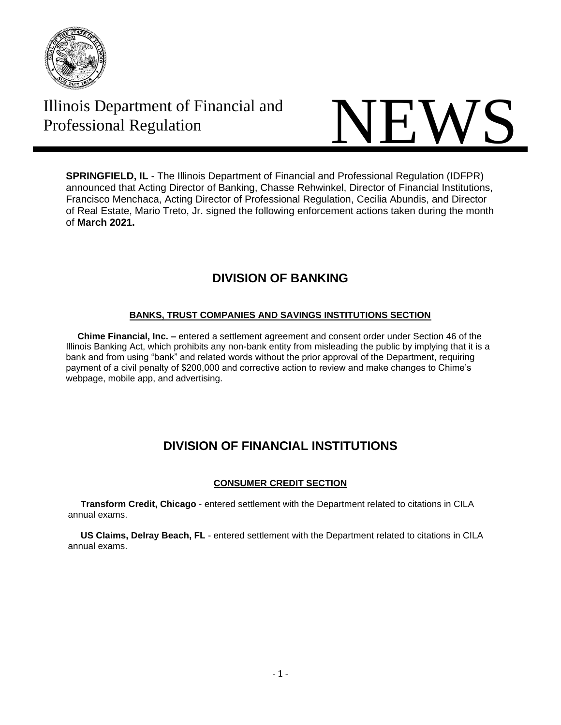

# Illinois Department of Financial and



**SPRINGFIELD, IL** - The Illinois Department of Financial and Professional Regulation (IDFPR) announced that Acting Director of Banking, Chasse Rehwinkel, Director of Financial Institutions, Francisco Menchaca, Acting Director of Professional Regulation, Cecilia Abundis, and Director of Real Estate, Mario Treto, Jr. signed the following enforcement actions taken during the month of **March 2021.**

# **DIVISION OF BANKING**

## **BANKS, TRUST COMPANIES AND SAVINGS INSTITUTIONS SECTION**

 **Chime Financial, Inc. –** entered a settlement agreement and consent order under Section 46 of the Illinois Banking Act, which prohibits any non-bank entity from misleading the public by implying that it is a bank and from using "bank" and related words without the prior approval of the Department, requiring payment of a civil penalty of \$200,000 and corrective action to review and make changes to Chime's webpage, mobile app, and advertising.

# **DIVISION OF FINANCIAL INSTITUTIONS**

## **CONSUMER CREDIT SECTION**

 **Transform Credit, Chicago** - entered settlement with the Department related to citations in CILA annual exams.

 **US Claims, Delray Beach, FL** - entered settlement with the Department related to citations in CILA annual exams.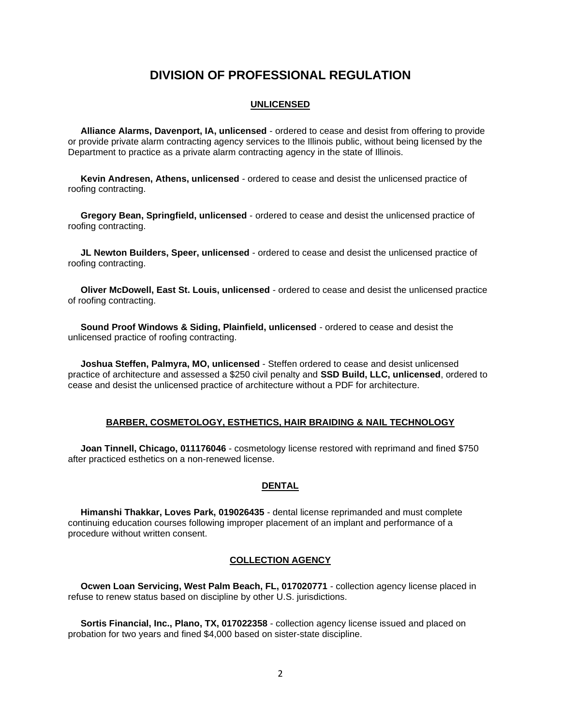## **DIVISION OF PROFESSIONAL REGULATION**

#### **UNLICENSED**

 **Alliance Alarms, Davenport, IA, unlicensed** - ordered to cease and desist from offering to provide or provide private alarm contracting agency services to the Illinois public, without being licensed by the Department to practice as a private alarm contracting agency in the state of Illinois.

 **Kevin Andresen, Athens, unlicensed** - ordered to cease and desist the unlicensed practice of roofing contracting.

 **Gregory Bean, Springfield, unlicensed** - ordered to cease and desist the unlicensed practice of roofing contracting.

 **JL Newton Builders, Speer, unlicensed** - ordered to cease and desist the unlicensed practice of roofing contracting.

 **Oliver McDowell, East St. Louis, unlicensed** - ordered to cease and desist the unlicensed practice of roofing contracting.

 **Sound Proof Windows & Siding, Plainfield, unlicensed** - ordered to cease and desist the unlicensed practice of roofing contracting.

 **Joshua Steffen, Palmyra, MO, unlicensed** - Steffen ordered to cease and desist unlicensed practice of architecture and assessed a \$250 civil penalty and **SSD Build, LLC, unlicensed**, ordered to cease and desist the unlicensed practice of architecture without a PDF for architecture.

#### **BARBER, COSMETOLOGY, ESTHETICS, HAIR BRAIDING & NAIL TECHNOLOGY**

 **Joan Tinnell, Chicago, 011176046** - cosmetology license restored with reprimand and fined \$750 after practiced esthetics on a non-renewed license.

#### **DENTAL**

 **Himanshi Thakkar, Loves Park, 019026435** - dental license reprimanded and must complete continuing education courses following improper placement of an implant and performance of a procedure without written consent.

#### **COLLECTION AGENCY**

 **Ocwen Loan Servicing, West Palm Beach, FL, 017020771** - collection agency license placed in refuse to renew status based on discipline by other U.S. jurisdictions.

 **Sortis Financial, Inc., Plano, TX, 017022358** - collection agency license issued and placed on probation for two years and fined \$4,000 based on sister-state discipline.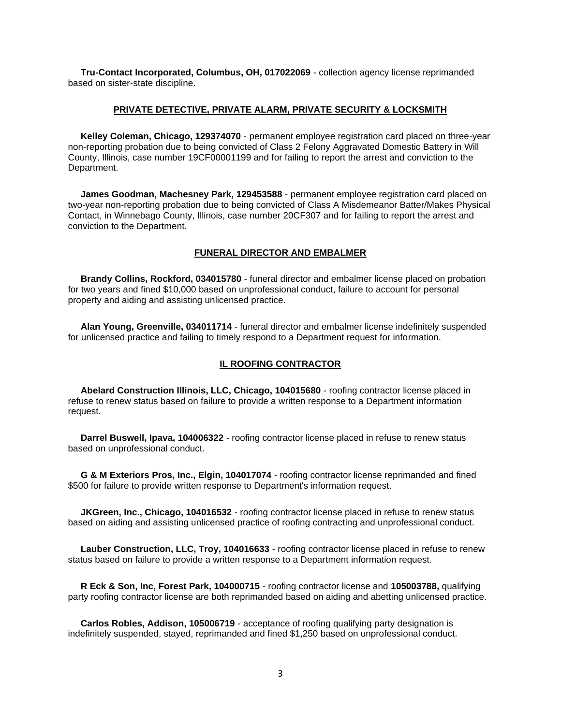**Tru-Contact Incorporated, Columbus, OH, 017022069** - collection agency license reprimanded based on sister-state discipline.

#### **PRIVATE DETECTIVE, PRIVATE ALARM, PRIVATE SECURITY & LOCKSMITH**

 **Kelley Coleman, Chicago, 129374070** - permanent employee registration card placed on three-year non-reporting probation due to being convicted of Class 2 Felony Aggravated Domestic Battery in Will County, Illinois, case number 19CF00001199 and for failing to report the arrest and conviction to the Department.

 **James Goodman, Machesney Park, 129453588** - permanent employee registration card placed on two-year non-reporting probation due to being convicted of Class A Misdemeanor Batter/Makes Physical Contact, in Winnebago County, Illinois, case number 20CF307 and for failing to report the arrest and conviction to the Department.

#### **FUNERAL DIRECTOR AND EMBALMER**

 **Brandy Collins, Rockford, 034015780** - funeral director and embalmer license placed on probation for two years and fined \$10,000 based on unprofessional conduct, failure to account for personal property and aiding and assisting unlicensed practice.

 **Alan Young, Greenville, 034011714** - funeral director and embalmer license indefinitely suspended for unlicensed practice and failing to timely respond to a Department request for information.

#### **IL ROOFING CONTRACTOR**

 **Abelard Construction Illinois, LLC, Chicago, 104015680** - roofing contractor license placed in refuse to renew status based on failure to provide a written response to a Department information request.

 **Darrel Buswell, Ipava, 104006322** - roofing contractor license placed in refuse to renew status based on unprofessional conduct.

 **G & M Exteriors Pros, Inc., Elgin, 104017074** - roofing contractor license reprimanded and fined \$500 for failure to provide written response to Department's information request.

 **JKGreen, Inc., Chicago, 104016532** - roofing contractor license placed in refuse to renew status based on aiding and assisting unlicensed practice of roofing contracting and unprofessional conduct.

 **Lauber Construction, LLC, Troy, 104016633** - roofing contractor license placed in refuse to renew status based on failure to provide a written response to a Department information request.

 **R Eck & Son, Inc, Forest Park, 104000715** - roofing contractor license and **105003788,** qualifying party roofing contractor license are both reprimanded based on aiding and abetting unlicensed practice.

 **Carlos Robles, Addison, 105006719** - acceptance of roofing qualifying party designation is indefinitely suspended, stayed, reprimanded and fined \$1,250 based on unprofessional conduct.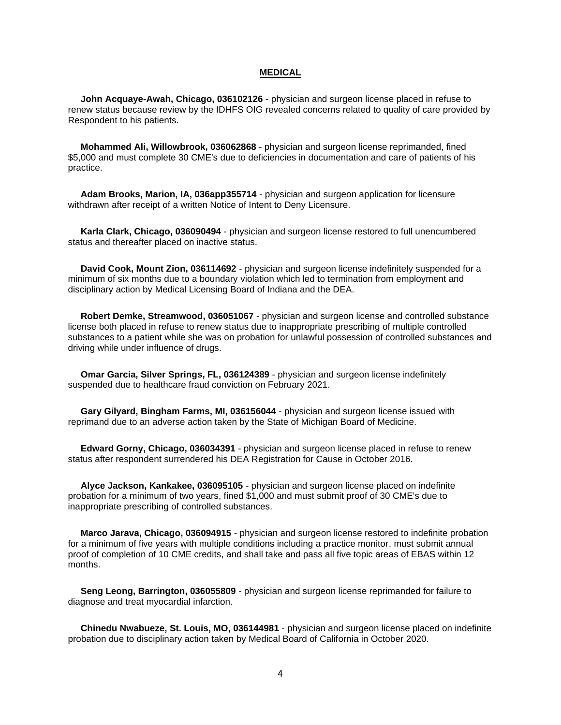#### **MEDICAL**

 **John Acquaye-Awah, Chicago, 036102126** - physician and surgeon license placed in refuse to renew status because review by the IDHFS OIG revealed concerns related to quality of care provided by Respondent to his patients.

 **Mohammed Ali, Willowbrook, 036062868** - physician and surgeon license reprimanded, fined \$5,000 and must complete 30 CME's due to deficiencies in documentation and care of patients of his practice.

 **Adam Brooks, Marion, IA, 036app355714** - physician and surgeon application for licensure withdrawn after receipt of a written Notice of Intent to Deny Licensure.

 **Karla Clark, Chicago, 036090494** - physician and surgeon license restored to full unencumbered status and thereafter placed on inactive status.

 **David Cook, Mount Zion, 036114692** - physician and surgeon license indefinitely suspended for a minimum of six months due to a boundary violation which led to termination from employment and disciplinary action by Medical Licensing Board of Indiana and the DEA.

 **Robert Demke, Streamwood, 036051067** - physician and surgeon license and controlled substance license both placed in refuse to renew status due to inappropriate prescribing of multiple controlled substances to a patient while she was on probation for unlawful possession of controlled substances and driving while under influence of drugs.

 **Omar Garcia, Silver Springs, FL, 036124389** - physician and surgeon license indefinitely suspended due to healthcare fraud conviction on February 2021.

 **Gary Gilyard, Bingham Farms, MI, 036156044** - physician and surgeon license issued with reprimand due to an adverse action taken by the State of Michigan Board of Medicine.

 **Edward Gorny, Chicago, 036034391** - physician and surgeon license placed in refuse to renew status after respondent surrendered his DEA Registration for Cause in October 2016.

 **Alyce Jackson, Kankakee, 036095105** - physician and surgeon license placed on indefinite probation for a minimum of two years, fined \$1,000 and must submit proof of 30 CME's due to inappropriate prescribing of controlled substances.

 **Marco Jarava, Chicago, 036094915** - physician and surgeon license restored to indefinite probation for a minimum of five years with multiple conditions including a practice monitor, must submit annual proof of completion of 10 CME credits, and shall take and pass all five topic areas of EBAS within 12 months.

 **Seng Leong, Barrington, 036055809** - physician and surgeon license reprimanded for failure to diagnose and treat myocardial infarction.

 **Chinedu Nwabueze, St. Louis, MO, 036144981** - physician and surgeon license placed on indefinite probation due to disciplinary action taken by Medical Board of California in October 2020.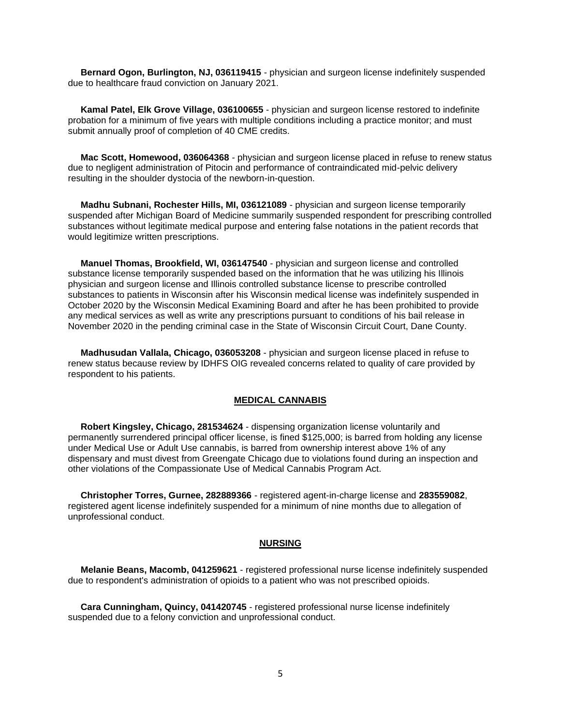**Bernard Ogon, Burlington, NJ, 036119415** - physician and surgeon license indefinitely suspended due to healthcare fraud conviction on January 2021.

 **Kamal Patel, Elk Grove Village, 036100655** - physician and surgeon license restored to indefinite probation for a minimum of five years with multiple conditions including a practice monitor; and must submit annually proof of completion of 40 CME credits.

 **Mac Scott, Homewood, 036064368** - physician and surgeon license placed in refuse to renew status due to negligent administration of Pitocin and performance of contraindicated mid-pelvic delivery resulting in the shoulder dystocia of the newborn-in-question.

 **Madhu Subnani, Rochester Hills, MI, 036121089** - physician and surgeon license temporarily suspended after Michigan Board of Medicine summarily suspended respondent for prescribing controlled substances without legitimate medical purpose and entering false notations in the patient records that would legitimize written prescriptions.

 **Manuel Thomas, Brookfield, WI, 036147540** - physician and surgeon license and controlled substance license temporarily suspended based on the information that he was utilizing his Illinois physician and surgeon license and Illinois controlled substance license to prescribe controlled substances to patients in Wisconsin after his Wisconsin medical license was indefinitely suspended in October 2020 by the Wisconsin Medical Examining Board and after he has been prohibited to provide any medical services as well as write any prescriptions pursuant to conditions of his bail release in November 2020 in the pending criminal case in the State of Wisconsin Circuit Court, Dane County.

 **Madhusudan Vallala, Chicago, 036053208** - physician and surgeon license placed in refuse to renew status because review by IDHFS OIG revealed concerns related to quality of care provided by respondent to his patients.

#### **MEDICAL CANNABIS**

 **Robert Kingsley, Chicago, 281534624** - dispensing organization license voluntarily and permanently surrendered principal officer license, is fined \$125,000; is barred from holding any license under Medical Use or Adult Use cannabis, is barred from ownership interest above 1% of any dispensary and must divest from Greengate Chicago due to violations found during an inspection and other violations of the Compassionate Use of Medical Cannabis Program Act.

 **Christopher Torres, Gurnee, 282889366** - registered agent-in-charge license and **283559082**, registered agent license indefinitely suspended for a minimum of nine months due to allegation of unprofessional conduct.

#### **NURSING**

 **Melanie Beans, Macomb, 041259621** - registered professional nurse license indefinitely suspended due to respondent's administration of opioids to a patient who was not prescribed opioids.

 **Cara Cunningham, Quincy, 041420745** - registered professional nurse license indefinitely suspended due to a felony conviction and unprofessional conduct.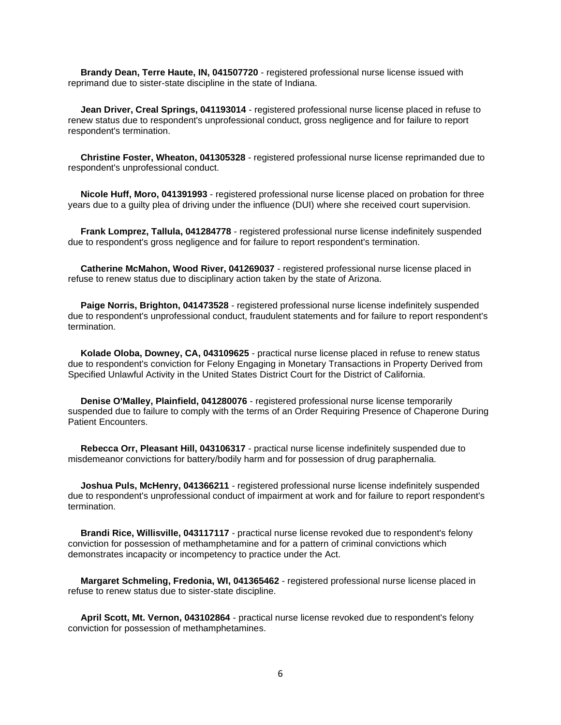**Brandy Dean, Terre Haute, IN, 041507720** - registered professional nurse license issued with reprimand due to sister-state discipline in the state of Indiana.

 **Jean Driver, Creal Springs, 041193014** - registered professional nurse license placed in refuse to renew status due to respondent's unprofessional conduct, gross negligence and for failure to report respondent's termination.

 **Christine Foster, Wheaton, 041305328** - registered professional nurse license reprimanded due to respondent's unprofessional conduct.

 **Nicole Huff, Moro, 041391993** - registered professional nurse license placed on probation for three years due to a guilty plea of driving under the influence (DUI) where she received court supervision.

 **Frank Lomprez, Tallula, 041284778** - registered professional nurse license indefinitely suspended due to respondent's gross negligence and for failure to report respondent's termination.

 **Catherine McMahon, Wood River, 041269037** - registered professional nurse license placed in refuse to renew status due to disciplinary action taken by the state of Arizona.

 **Paige Norris, Brighton, 041473528** - registered professional nurse license indefinitely suspended due to respondent's unprofessional conduct, fraudulent statements and for failure to report respondent's termination.

 **Kolade Oloba, Downey, CA, 043109625** - practical nurse license placed in refuse to renew status due to respondent's conviction for Felony Engaging in Monetary Transactions in Property Derived from Specified Unlawful Activity in the United States District Court for the District of California.

 **Denise O'Malley, Plainfield, 041280076** - registered professional nurse license temporarily suspended due to failure to comply with the terms of an Order Requiring Presence of Chaperone During Patient Encounters.

 **Rebecca Orr, Pleasant Hill, 043106317** - practical nurse license indefinitely suspended due to misdemeanor convictions for battery/bodily harm and for possession of drug paraphernalia.

 **Joshua Puls, McHenry, 041366211** - registered professional nurse license indefinitely suspended due to respondent's unprofessional conduct of impairment at work and for failure to report respondent's termination.

 **Brandi Rice, Willisville, 043117117** - practical nurse license revoked due to respondent's felony conviction for possession of methamphetamine and for a pattern of criminal convictions which demonstrates incapacity or incompetency to practice under the Act.

 **Margaret Schmeling, Fredonia, WI, 041365462** - registered professional nurse license placed in refuse to renew status due to sister-state discipline.

 **April Scott, Mt. Vernon, 043102864** - practical nurse license revoked due to respondent's felony conviction for possession of methamphetamines.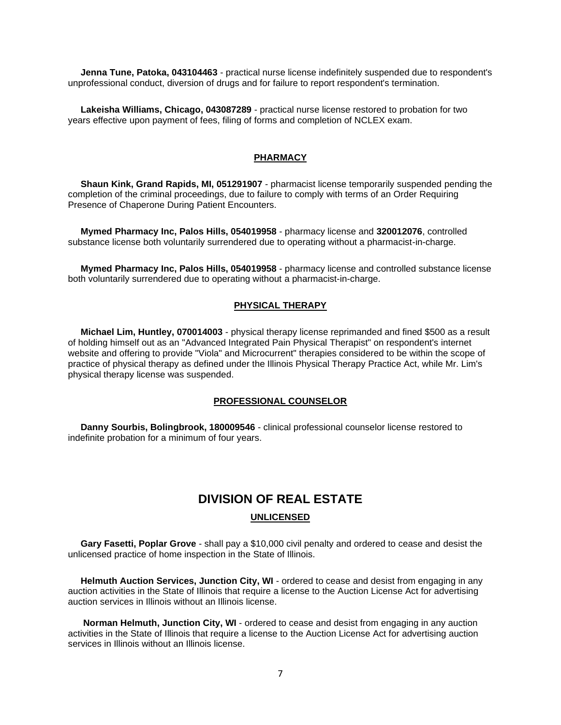**Jenna Tune, Patoka, 043104463** - practical nurse license indefinitely suspended due to respondent's unprofessional conduct, diversion of drugs and for failure to report respondent's termination.

 **Lakeisha Williams, Chicago, 043087289** - practical nurse license restored to probation for two years effective upon payment of fees, filing of forms and completion of NCLEX exam.

#### **PHARMACY**

 **Shaun Kink, Grand Rapids, MI, 051291907** - pharmacist license temporarily suspended pending the completion of the criminal proceedings, due to failure to comply with terms of an Order Requiring Presence of Chaperone During Patient Encounters.

 **Mymed Pharmacy Inc, Palos Hills, 054019958** - pharmacy license and **320012076**, controlled substance license both voluntarily surrendered due to operating without a pharmacist-in-charge.

 **Mymed Pharmacy Inc, Palos Hills, 054019958** - pharmacy license and controlled substance license both voluntarily surrendered due to operating without a pharmacist-in-charge.

#### **PHYSICAL THERAPY**

 **Michael Lim, Huntley, 070014003** - physical therapy license reprimanded and fined \$500 as a result of holding himself out as an "Advanced Integrated Pain Physical Therapist" on respondent's internet website and offering to provide "Viola" and Microcurrent" therapies considered to be within the scope of practice of physical therapy as defined under the Illinois Physical Therapy Practice Act, while Mr. Lim's physical therapy license was suspended.

#### **PROFESSIONAL COUNSELOR**

 **Danny Sourbis, Bolingbrook, 180009546** - clinical professional counselor license restored to indefinite probation for a minimum of four years.

## **DIVISION OF REAL ESTATE UNLICENSED**

 **Gary Fasetti, Poplar Grove** - shall pay a \$10,000 civil penalty and ordered to cease and desist the unlicensed practice of home inspection in the State of Illinois.

**Helmuth Auction Services, Junction City, WI** - ordered to cease and desist from engaging in any auction activities in the State of Illinois that require a license to the Auction License Act for advertising auction services in Illinois without an Illinois license.

 **Norman Helmuth, Junction City, WI** - ordered to cease and desist from engaging in any auction activities in the State of Illinois that require a license to the Auction License Act for advertising auction services in Illinois without an Illinois license.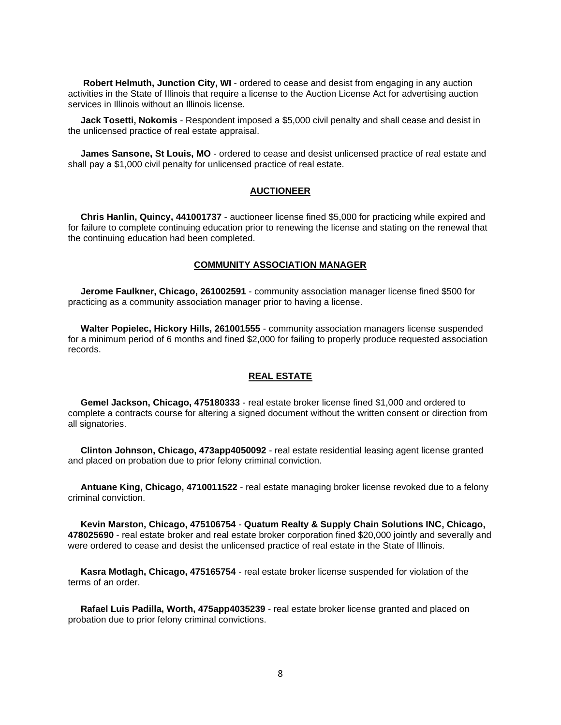**Robert Helmuth, Junction City, WI** - ordered to cease and desist from engaging in any auction activities in the State of Illinois that require a license to the Auction License Act for advertising auction services in Illinois without an Illinois license.

 **Jack Tosetti, Nokomis** - Respondent imposed a \$5,000 civil penalty and shall cease and desist in the unlicensed practice of real estate appraisal.

 **James Sansone, St Louis, MO** - ordered to cease and desist unlicensed practice of real estate and shall pay a \$1,000 civil penalty for unlicensed practice of real estate.

#### **AUCTIONEER**

 **Chris Hanlin, Quincy, 441001737** - auctioneer license fined \$5,000 for practicing while expired and for failure to complete continuing education prior to renewing the license and stating on the renewal that the continuing education had been completed.

#### **COMMUNITY ASSOCIATION MANAGER**

 **Jerome Faulkner, Chicago, 261002591** - community association manager license fined \$500 for practicing as a community association manager prior to having a license.

 **Walter Popielec, Hickory Hills, 261001555** - community association managers license suspended for a minimum period of 6 months and fined \$2,000 for failing to properly produce requested association records.

#### **REAL ESTATE**

 **Gemel Jackson, Chicago, 475180333** - real estate broker license fined \$1,000 and ordered to complete a contracts course for altering a signed document without the written consent or direction from all signatories.

 **Clinton Johnson, Chicago, 473app4050092** - real estate residential leasing agent license granted and placed on probation due to prior felony criminal conviction.

 **Antuane King, Chicago, 4710011522** - real estate managing broker license revoked due to a felony criminal conviction.

 **Kevin Marston, Chicago, 475106754** - **Quatum Realty & Supply Chain Solutions INC, Chicago, 478025690** - real estate broker and real estate broker corporation fined \$20,000 jointly and severally and were ordered to cease and desist the unlicensed practice of real estate in the State of Illinois.

 **Kasra Motlagh, Chicago, 475165754** - real estate broker license suspended for violation of the terms of an order.

 **Rafael Luis Padilla, Worth, 475app4035239** - real estate broker license granted and placed on probation due to prior felony criminal convictions.